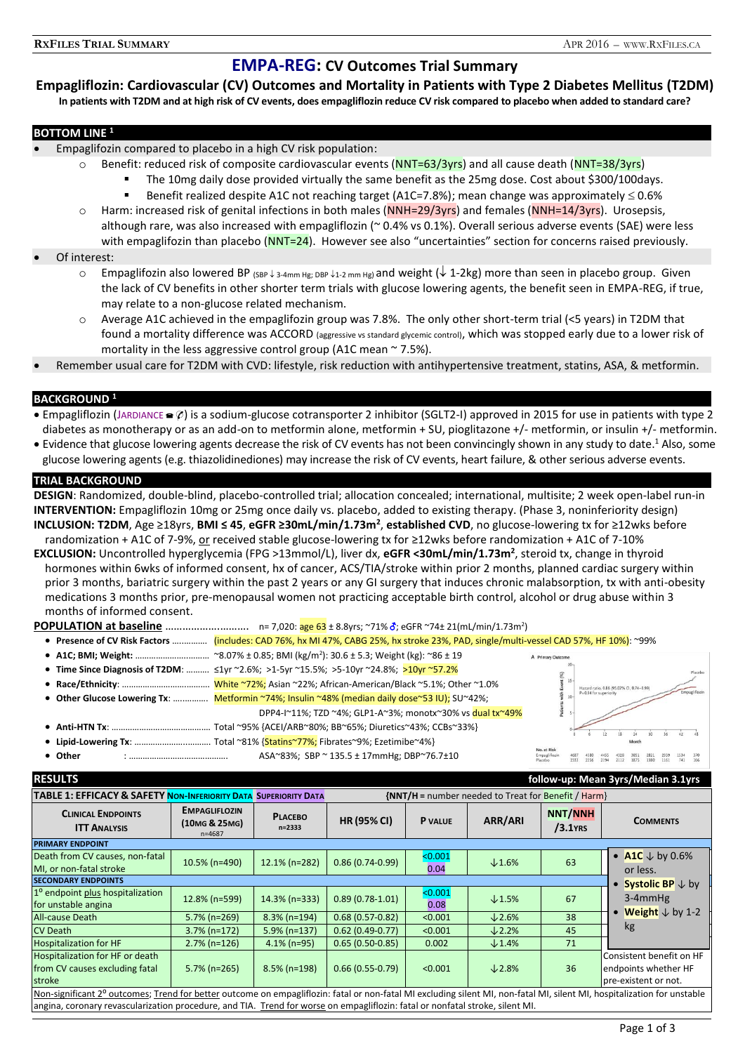# **EMPA-REG: CV Outcomes Trial Summary**

**Empagliflozin: Cardiovascular (CV) Outcomes and Mortality in Patients with Type 2 Diabetes Mellitus (T2DM) In patients with T2DM and at high risk of CV events, does empagliflozin reduce CV risk compared to placebo when added to standard care?**

## **BOTTOM LINE <sup>1</sup>**

- Empaglifozin compared to placebo in a high CV risk population:
	- $\circ$  Benefit: reduced risk of composite cardiovascular events (NNT=63/3yrs) and all cause death (NNT=38/3yrs)
		- The 10mg daily dose provided virtually the same benefit as the 25mg dose. Cost about \$300/100days.
		- Benefit realized despite A1C not reaching target (A1C=7.8%); mean change was approximately  $\leq 0.6\%$
	- $\circ$  Harm: increased risk of genital infections in both males (NNH=29/3yrs) and females (NNH=14/3yrs). Urosepsis, although rare, was also increased with empagliflozin (~ 0.4% vs 0.1%). Overall serious adverse events (SAE) were less with empaglifozin than placebo (NNT=24). However see also "uncertainties" section for concerns raised previously.

## Of interest:

- $\circ$  Empaglifozin also lowered BP (SBP  $\downarrow$  3-4mm Hg; DBP  $\downarrow$  1-2 mm Hg) and weight ( $\downarrow$  1-2kg) more than seen in placebo group. Given the lack of CV benefits in other shorter term trials with glucose lowering agents, the benefit seen in EMPA-REG, if true, may relate to a non-glucose related mechanism.
- o Average A1C achieved in the empaglifozin group was 7.8%. The only other short-term trial (<5 years) in T2DM that found a mortality difference was ACCORD (aggressive vs standard glycemic control), which was stopped early due to a lower risk of mortality in the less aggressive control group (A1C mean  $\sim$  7.5%).
- Remember usual care for T2DM with CVD: lifestyle, risk reduction with antihypertensive treatment, statins, ASA, & metformin.

# **BACKGROUND <sup>1</sup>**

- **Empagliflozin (JARDIANCE**  $\in \emptyset$ **) is a sodium-glucose cotransporter 2 inhibitor (SGLT2-I) approved in 2015 for use in patients with type 2** diabetes as monotherapy or as an add-on to metformin alone, metformin + SU, pioglitazone +/- metformin, or insulin +/- metformin.
- Evidence that glucose lowering agents decrease the risk of CV events has not been convincingly shown in any study to date.<sup>1</sup> Also, some glucose lowering agents (e.g. thiazolidinediones) may increase the risk of CV events, heart failure, & other serious adverse events.

## **TRIAL BACKGROUND**

**DESIGN**: Randomized, double-blind, placebo-controlled trial; allocation concealed; international, multisite; 2 week open-label run-in **INTERVENTION:** Empagliflozin 10mg or 25mg once daily vs. placebo, added to existing therapy. (Phase 3, noninferiority design) **INCLUSION: T2DM**, Age ≥18yrs, **BMI ≤ 45**, **eGFR ≥30mL/min/1.73m<sup>2</sup>** , **established CVD**, no glucose-lowering tx for ≥12wks before randomization + A1C of 7-9%, or received stable glucose-lowering tx for ≥12wks before randomization + A1C of 7-10%

**EXCLUSION:** Uncontrolled hyperglycemia (FPG >13mmol/L), liver dx, **eGFR <30mL/min/1.73m<sup>2</sup>** , steroid tx, change in thyroid hormones within 6wks of informed consent, hx of cancer, ACS/TIA/stroke within prior 2 months, planned cardiac surgery within prior 3 months, bariatric surgery within the past 2 years or any GI surgery that induces chronic malabsorption, tx with anti-obesity medications 3 months prior, pre-menopausal women not practicing acceptable birth control, alcohol or drug abuse within 3 months of informed consent.

| . Presence of CV Risk Factors  (includes: CAD 76%, hx MI 47%, CABG 25%, hx stroke 23%, PAD, single/multi-vessel CAD 57%, HF 10%): ~99% |  |                                                           |                   |                          |             |
|----------------------------------------------------------------------------------------------------------------------------------------|--|-----------------------------------------------------------|-------------------|--------------------------|-------------|
|                                                                                                                                        |  |                                                           | A Primary Outcome |                          |             |
| • Time Since Diagnosis of T2DM: $\leq 1$ yr ~2.6%; >1-5yr ~15.5%; >5-10yr ~24.8%; >10yr ~57.2%                                         |  |                                                           |                   |                          | Place       |
|                                                                                                                                        |  |                                                           |                   |                          | Empagliflo: |
| • Other Glucose Lowering Tx:  Metformin ~74%; Insulin ~48% (median daily dose~53 IU); SU~42%;                                          |  |                                                           |                   | $P = 0.04$ for superiori |             |
|                                                                                                                                        |  | DPP4-I~11%; TZD ~4%; GLP1-A~3%; monotx~30% vs dual tx~49% |                   |                          |             |
|                                                                                                                                        |  |                                                           |                   |                          |             |
|                                                                                                                                        |  |                                                           | No. at Piek       |                          |             |

**Other** : ……………………………………. ASA~83%; SBP ~ 135.5 ± 17mmHg; DBP~76.7±10

| <b>RESULTS</b>                                                                                                                                                           |                                                                                   |                          |                    |                 |               |                              | follow-up: Mean 3yrs/Median 3.1yrs                                       |
|--------------------------------------------------------------------------------------------------------------------------------------------------------------------------|-----------------------------------------------------------------------------------|--------------------------|--------------------|-----------------|---------------|------------------------------|--------------------------------------------------------------------------|
| <b>TABLE 1: EFFICACY &amp; SAFETY NON-INFERIORITY DATA</b>                                                                                                               | $\{NNT/H =$ number needed to Treat for Benefit / Harm}<br><b>SUPERIORITY DATA</b> |                          |                    |                 |               |                              |                                                                          |
| <b>CLINICAL ENDPOINTS</b><br><b>ITT ANALYSIS</b>                                                                                                                         | <b>EMPAGLIFLOZIN</b><br>(10MG & 25MG)<br>$n = 4687$                               | <b>PLACEBO</b><br>n=2333 | <b>HR (95% CI)</b> | <b>P</b> VALUE  | ARR/ARI       | <b>NNT/NNH</b><br>$/3.1$ YRS | <b>COMMENTS</b>                                                          |
| <b>PRIMARY ENDPOINT</b>                                                                                                                                                  |                                                                                   |                          |                    |                 |               |                              |                                                                          |
| Death from CV causes, non-fatal<br>MI. or non-fatal stroke                                                                                                               | 10.5% (n=490)                                                                     | 12.1% (n=282)            | $0.86(0.74-0.99)$  | < 0.001<br>0.04 | $\times$ 1.6% | 63                           | • A1C $\downarrow$ by 0.6%<br>or less.                                   |
| <b>SECONDARY ENDPOINTS</b>                                                                                                                                               |                                                                                   |                          |                    |                 |               |                              | <b>Systolic BP</b> $\downarrow$ by                                       |
| 1 <sup>o</sup> endpoint plus hospitalization<br>for unstable angina                                                                                                      | 12.8% (n=599)                                                                     | $14.3\%$ (n=333)         | $0.89(0.78-1.01)$  | < 0.001<br>0.08 | $\times$ 1.5% | 67                           | $3-4$ mm $Hg$                                                            |
| All-cause Death                                                                                                                                                          | 5.7% (n=269)                                                                      | $8.3\%$ (n=194)          | $0.68(0.57-0.82)$  | < 0.001         | $\times$ 2.6% | 38                           | <b>Weight</b> $\downarrow$ by 1-2                                        |
| <b>CV Death</b>                                                                                                                                                          | $3.7\%$ (n=172)                                                                   | $5.9\%$ (n=137)          | $0.62(0.49-0.77)$  | < 0.001         | $\times$ 2.2% | 45                           | kg                                                                       |
| <b>Hospitalization for HF</b>                                                                                                                                            | $2.7\%$ (n=126)                                                                   | $4.1\%$ (n=95)           | $0.65(0.50-0.85)$  | 0.002           | $\times$ 1.4% | 71                           |                                                                          |
| Hospitalization for HF or death<br>from CV causes excluding fatal<br>stroke                                                                                              | $5.7\%$ (n=265)                                                                   | $8.5\%$ (n=198)          | $0.66(0.55-0.79)$  | < 0.001         | $\times$ 2.8% | 36                           | Consistent benefit on HF<br>endpoints whether HF<br>pre-existent or not. |
| Non-significant 2° outcomes; Trend for better outcome on empagliflozin: fatal or non-fatal MI excluding silent MI, non-fatal MI, silent MI, hospitalization for unstable |                                                                                   |                          |                    |                 |               |                              |                                                                          |
| angina, coronary revascularization procedure, and TIA. Trend for worse on empagliflozin: fatal or nonfatal stroke, silent MI.                                            |                                                                                   |                          |                    |                 |               |                              |                                                                          |

4687 4580 4455 4328 3851 2821 2359 1534 370<br>2333 2256 2194 2112 1875 1380 1161 741 166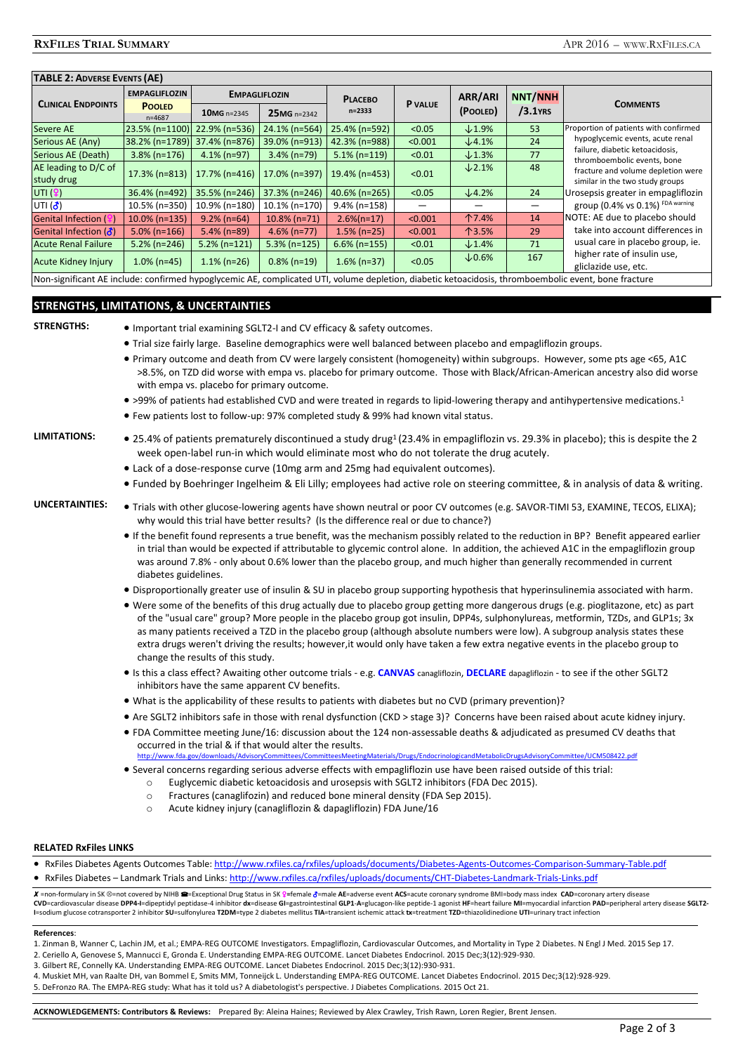# **TABLE 2: ADVERSE EVENTS (AE)**

|                                                                                                                                                    | <b>EMPAGLIFLOZIN</b>         |                                  | <b>EMPAGLIFLOZIN</b> | <b>PLACEBO</b>          |                | ARR/ARI           | <b>NNT/NNH</b> |                                                                |
|----------------------------------------------------------------------------------------------------------------------------------------------------|------------------------------|----------------------------------|----------------------|-------------------------|----------------|-------------------|----------------|----------------------------------------------------------------|
| <b>CLINICAL ENDPOINTS</b>                                                                                                                          | <b>POOLED</b><br>$n = 4687$  | $10MG$ n=2345                    | 25MG n=2342          | $n = 2333$              | <b>P</b> VALUE | (POOLED)          | $/3.1$ YRS     | <b>COMMENTS</b>                                                |
| <b>Severe AE</b>                                                                                                                                   | 23.5% (n=1100) 22.9% (n=536) |                                  | 24.1% (n=564)        | 25.4% (n=592)           | < 0.05         | $\times$ 1.9%     | 53             | Proportion of patients with confirmed                          |
| Serious AE (Any)                                                                                                                                   | 38.2% (n=1789) 37.4% (n=876) |                                  | 39.0% (n=913)        | 42.3% (n=988)           | < 0.001        | $\downarrow$ 4.1% | 24             | hypoglycemic events, acute renal                               |
| Serious AE (Death)                                                                                                                                 | $3.8\%$ (n=176)              | $4.1\%$ (n=97)                   | $3.4\%$ (n=79)       | $5.1\%$ (n=119)         | < 0.01         | $\times$ 1.3%     | 77             | failure, diabetic ketoacidosis,<br>thromboembolic events, bone |
| AE leading to D/C of                                                                                                                               |                              | $17.3\%$ (n=813)   17.7% (n=416) | 17.0% (n=397)        | 19.4% (n=453)           | < 0.01         | $\times$ 2.1%     | 48             | fracture and volume depletion were                             |
| study drug                                                                                                                                         |                              |                                  |                      |                         |                |                   |                | similar in the two study groups                                |
| UTI $(9)$                                                                                                                                          | 36.4% (n=492)                | 35.5% (n=246)                    | 37.3% (n=246)        | $40.6\%$ (n=265)        | < 0.05         | $\downarrow$ 4.2% | 24             | Urosepsis greater in empagliflozin                             |
| UTI $(\vec{\delta})$                                                                                                                               | 10.5% (n=350)                | 10.9% (n=180)                    | 10.1% (n=170)        | $9.4\%$ (n=158)         |                |                   |                | group (0.4% vs 0.1%) FDA warning                               |
| Genital Infection (9)                                                                                                                              | 10.0% (n=135)                | $9.2\%$ (n=64)                   | $10.8\%$ (n=71)      | $2.6\frac{1}{2}$ (n=17) | < 0.001        | 个7.4%             | 14             | NOTE: AE due to placebo should                                 |
| Genital Infection $(\delta)$                                                                                                                       | $5.0\%$ (n=166)              | $5.4\%$ (n=89)                   | $4.6\%$ (n=77)       | $1.5\%$ (n=25)          | < 0.001        | 个3.5%             | 29             | take into account differences in                               |
| <b>Acute Renal Failure</b>                                                                                                                         | $5.2\%$ (n=246)              | $5.2\%$ (n=121)                  | $5.3\%$ (n=125)      | $6.6\%$ (n=155)         | < 0.01         | $\times$ 1.4%     | 71             | usual care in placebo group, ie.                               |
| <b>Acute Kidney Injury</b>                                                                                                                         | $1.0\%$ (n=45)               | $1.1\%$ (n=26)                   | $0.8\%$ (n=19)       | $1.6\%$ (n=37)          | < 0.05         | $\times$ 0.6%     | 167            | higher rate of insulin use,                                    |
| [Alan alandfinant AF laghidai ang finaad binaadinanta AF sanadigatad HTL iighina dagbalan dighatig baagidani dhugushagankalig aigat haga finatiina |                              |                                  |                      |                         |                |                   |                | gliclazide use, etc.                                           |

Non-significant AE include: confirmed hypoglycemic AE, complicated UTI, volume depletion, diabetic ketoacidosis, thromboembolic event, bone fracture

## **STRENGTHS, LIMITATIONS, & UNCERTAINTIES**

|  | <b>STRENGTHS:</b> |
|--|-------------------|
|  |                   |

- **Important trial examining SGLT2-I and CV efficacy & safety outcomes.**
- Trial size fairly large. Baseline demographics were well balanced between placebo and empagliflozin groups.
- Primary outcome and death from CV were largely consistent (homogeneity) within subgroups. However, some pts age <65, A1C >8.5%, on TZD did worse with empa vs. placebo for primary outcome. Those with Black/African-American ancestry also did worse with empa vs. placebo for primary outcome.
- >99% of patients had established CVD and were treated in regards to lipid-lowering therapy and antihypertensive medications.<sup>1</sup>
- Few patients lost to follow-up: 97% completed study & 99% had known vital status.

- LIMITATIONS: 25.4% of patients prematurely discontinued a study drug<sup>1</sup> (23.4% in empagliflozin vs. 29.3% in placebo); this is despite the 2 week open-label run-in which would eliminate most who do not tolerate the drug acutely.
	- Lack of a dose-response curve (10mg arm and 25mg had equivalent outcomes).
	- Funded by Boehringer Ingelheim & Eli Lilly; employees had active role on steering committee, & in analysis of data & writing.
- UNCERTAINTIES: . Trials with other glucose-lowering agents have shown neutral or poor CV outcomes (e.g. SAVOR-TIMI 53, EXAMINE, TECOS, ELIXA); why would this trial have better results? (Is the difference real or due to chance?)
	- If the benefit found represents a true benefit, was the mechanism possibly related to the reduction in BP? Benefit appeared earlier in trial than would be expected if attributable to glycemic control alone. In addition, the achieved A1C in the empagliflozin group was around 7.8% - only about 0.6% lower than the placebo group, and much higher than generally recommended in current diabetes guidelines.
	- Disproportionally greater use of insulin & SU in placebo group supporting hypothesis that hyperinsulinemia associated with harm.
	- Were some of the benefits of this drug actually due to placebo group getting more dangerous drugs (e.g. pioglitazone, etc) as part of the "usual care" group? More people in the placebo group got insulin, DPP4s, sulphonylureas, metformin, TZDs, and GLP1s; 3x as many patients received a TZD in the placebo group (although absolute numbers were low). A subgroup analysis states these extra drugs weren't driving the results; however,it would only have taken a few extra negative events in the placebo group to change the results of this study.
	- Is this a class effect? Awaiting other outcome trials e.g. **CANVAS** canagliflozin, **DECLARE** dapagliflozin to see if the other SGLT2 inhibitors have the same apparent CV benefits.
	- What is the applicability of these results to patients with diabetes but no CVD (primary prevention)?
	- Are SGLT2 inhibitors safe in those with renal dysfunction (CKD > stage 3)? Concerns have been raised about acute kidney injury.
	- FDA Committee meeting June/16: discussion about the 124 non-assessable deaths & adjudicated as presumed CV deaths that occurred in the trial & if that would alter the results.<br>http://www.fda.gov/downloads/AdvisoryCommittees/CommitteesMeeting <http://www.fda.gov/downloads/AdvisoryCommittees/CommitteesMeetingMaterials/Drugs/EndocrinologicandMetabolicDrugsAdvisoryCommittee/UCM508422.pdf>
	- Several concerns regarding serious adverse effects with empagliflozin use have been raised outside of this trial:
		- o Euglycemic diabetic ketoacidosis and urosepsis with SGLT2 inhibitors (FDA Dec 2015).
			- o Fractures (canaglifozin) and reduced bone mineral density (FDA Sep 2015).
			- o Acute kidney injury (canagliflozin & dapagliflozin) FDA June/16

#### **RELATED RxFiles LINKS**

 RxFiles Diabetes Agents Outcomes Table[: http://www.rxfiles.ca/rxfiles/uploads/documents/Diabetes-Agents-Outcomes-Comparison-Summary-Table.pdf](http://www.rxfiles.ca/rxfiles/uploads/documents/Diabetes-Agents-Outcomes-Comparison-Summary-Table.pdf) RxFiles Diabetes – Landmark Trials and Links[: http://www.rxfiles.ca/rxfiles/uploads/documents/CHT-Diabetes-Landmark-Trials-Links.pdf](http://www.rxfiles.ca/rxfiles/uploads/documents/CHT-Diabetes-Landmark-Trials-Links.pdf)

X =non-formulary in SK ⊗=not covered by NIHB <sup>■</sup>=Exceptional Drug Status in SK ♀=female ð=male AE=adverse event ACS=acute coronary syndrome BMI=body mass index CAD=coronary artery disease CVD=cardiovascular disease DPP4-I=dipeptidvl peptidase-4 inhibitor dx=disease GI=gastrointestinal GLP1-A=glucagon-like peptide-1 agonist HF=heart failure MI=myocardial infarction PAD=peripheral artery disease SGLT2-I=sodium glucose cotransporter 2 inhibitor SU=sulfonylurea T2DM=type 2 diabetes mellitus TIA=transient ischemic attack tx=treatment TZD=thiazolidinedione UTI=urinary tract infection

#### **References**:

- 1. Zinman B, Wanner C, Lachin JM, et al.; EMPA-REG OUTCOME Investigators. Empagliflozin, Cardiovascular Outcomes, and Mortality in Type 2 Diabetes. N Engl J Med. 2015 Sep 17.
- 2. Ceriello A, Genovese S, Mannucci E, Gronda E. Understanding EMPA-REG OUTCOME. Lancet Diabetes Endocrinol. 2015 Dec;3(12):929-930.
- 3. Gilbert RE, Connelly KA. Understanding EMPA-REG OUTCOME. Lancet Diabetes Endocrinol. 2015 Dec;3(12):930-931.
- 4. Muskiet MH, van Raalte DH, van Bommel E, Smits MM, Tonneijck L. Understanding EMPA-REG OUTCOME. Lancet Diabetes Endocrinol. 2015 Dec;3(12):928-929.
- 5. DeFronzo RA. The EMPA-REG study: What has it told us? A diabetologist's perspective. J Diabetes Complications. 2015 Oct 21.